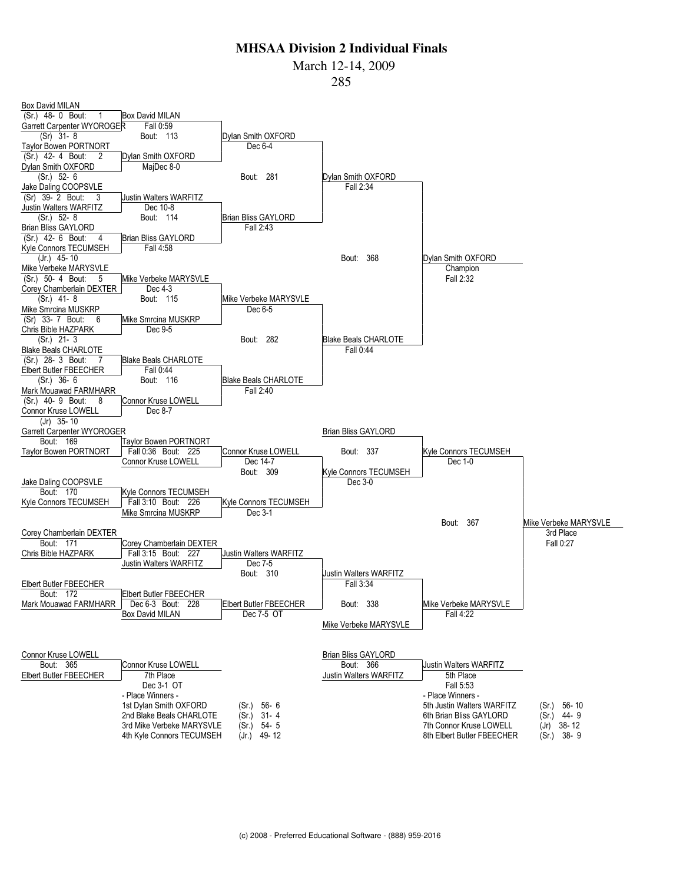March 12-14, 2009

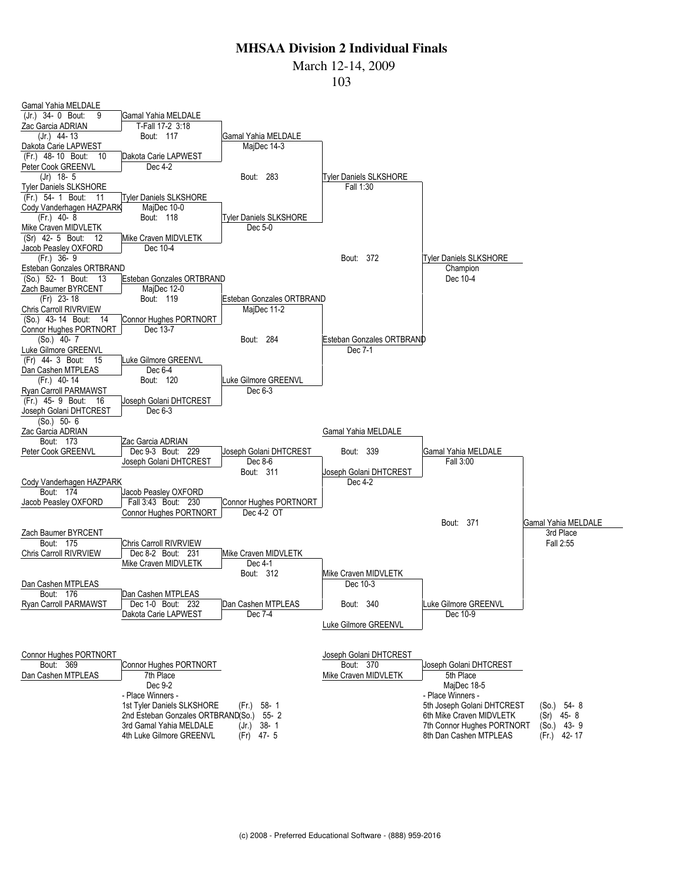#### March 12-14, 2009

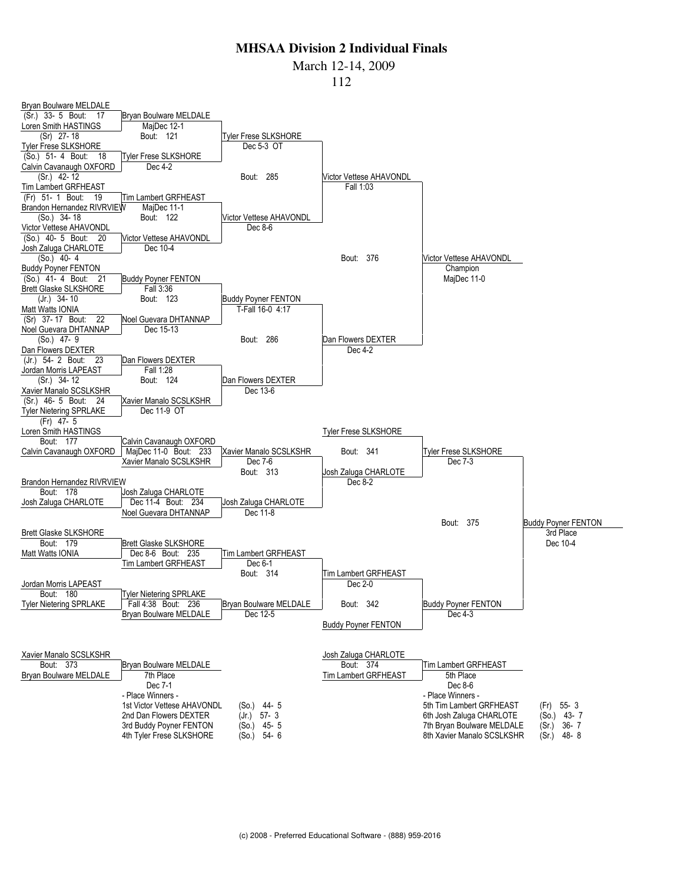March 12-14, 2009

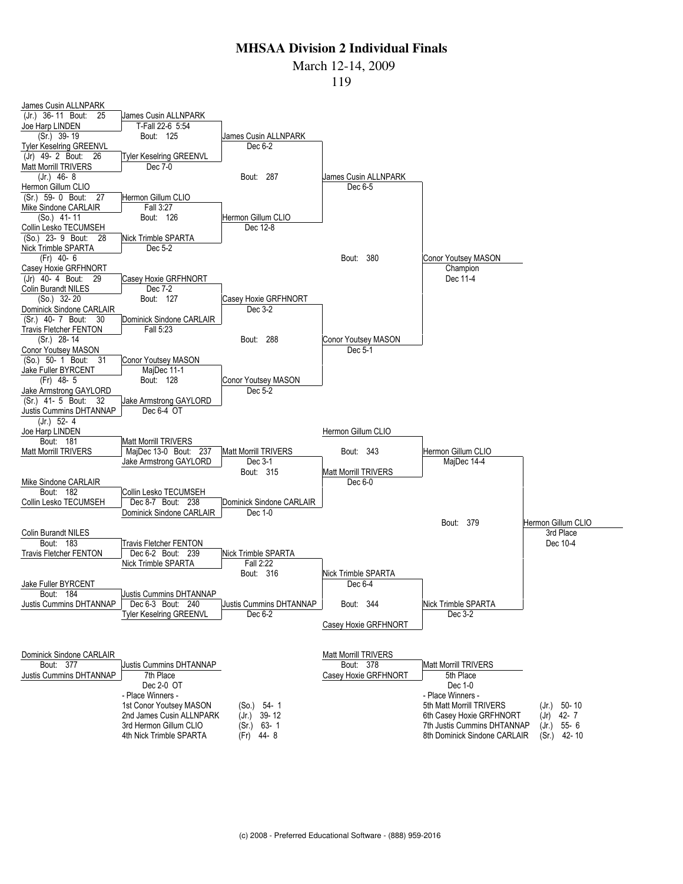#### March 12-14, 2009

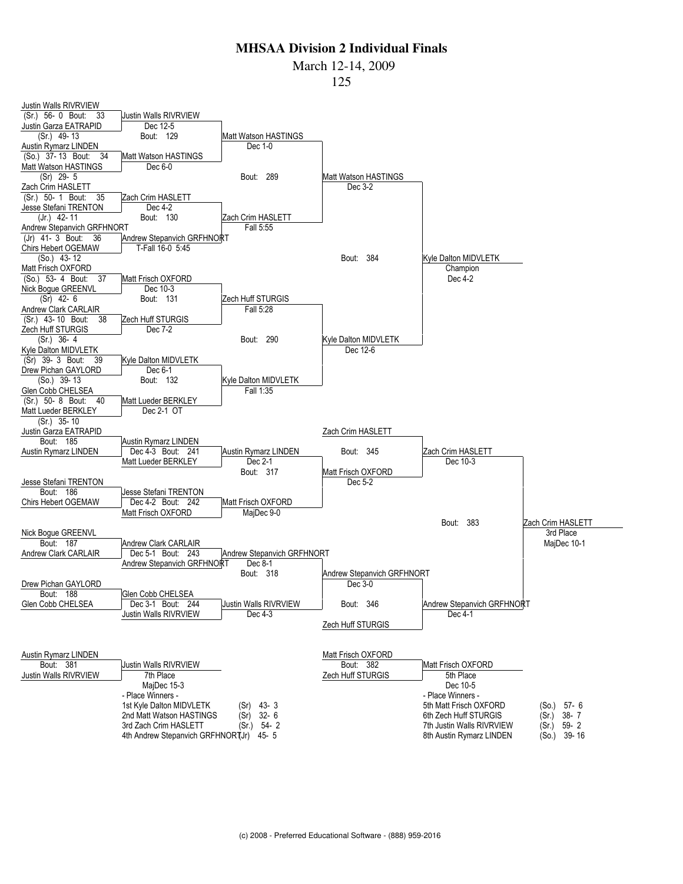March 12-14, 2009

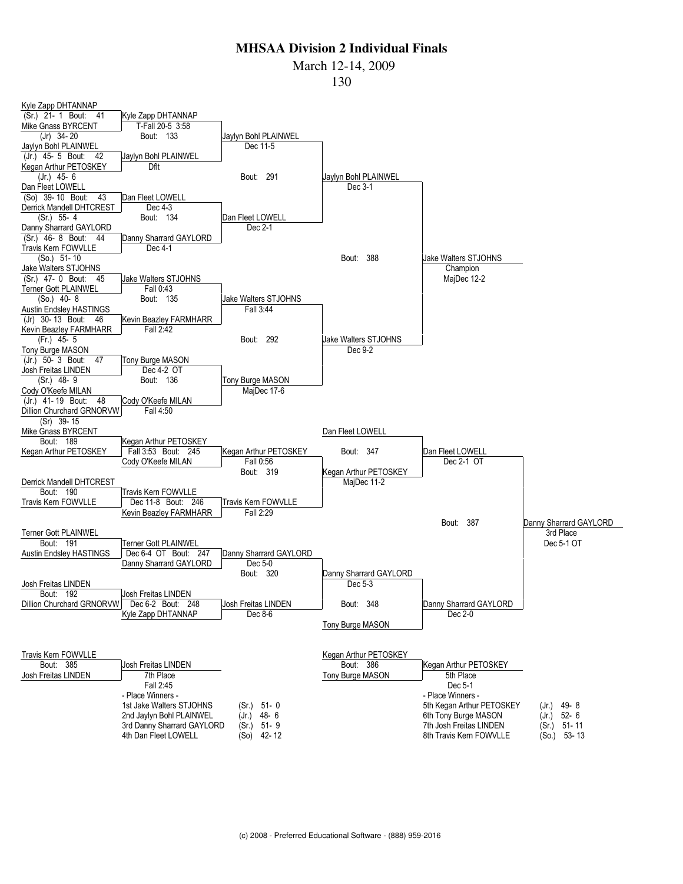March 12-14, 2009

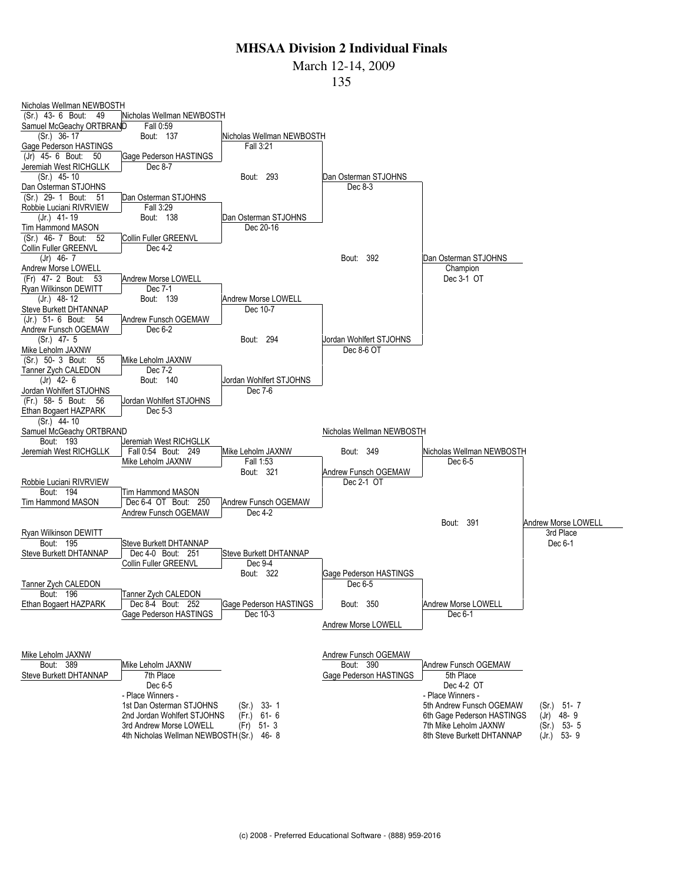March 12-14, 2009

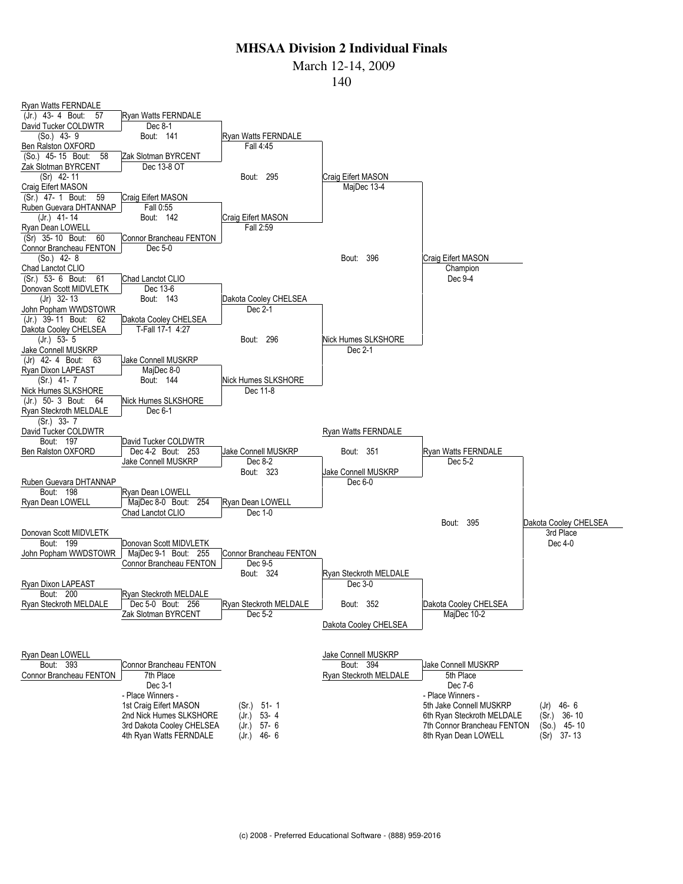March 12-14, 2009

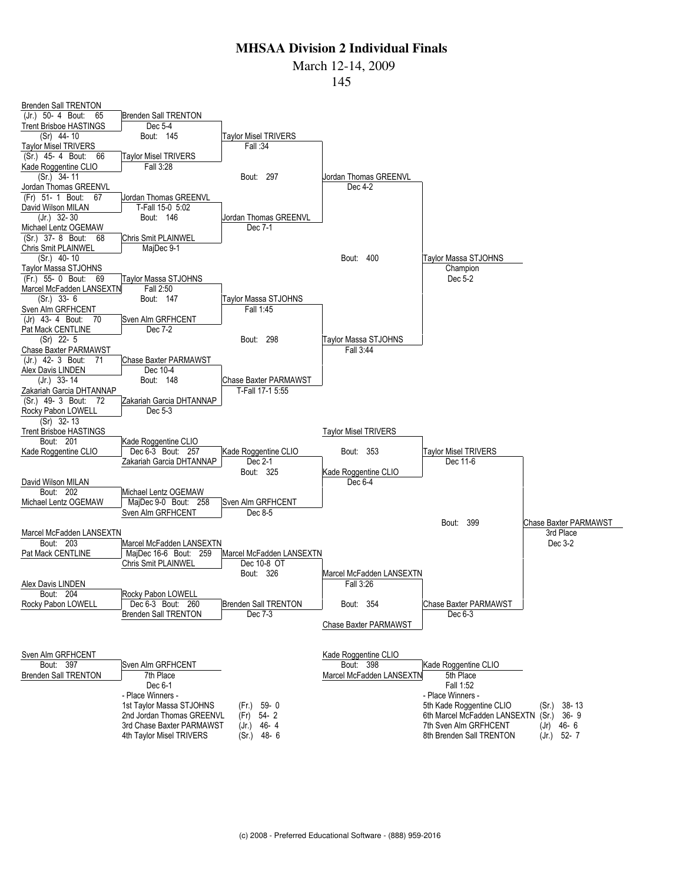March 12-14, 2009

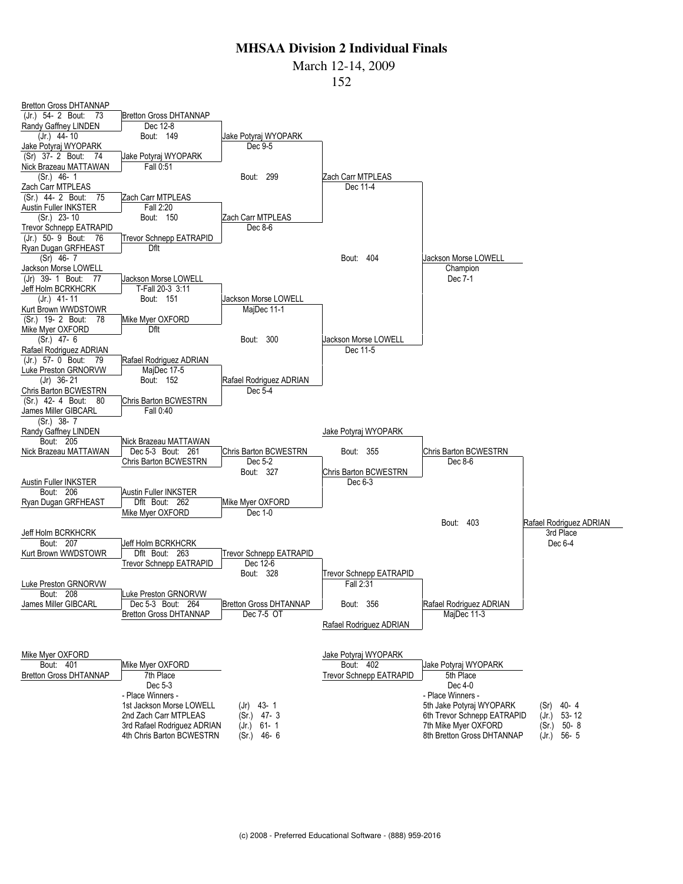March 12-14, 2009

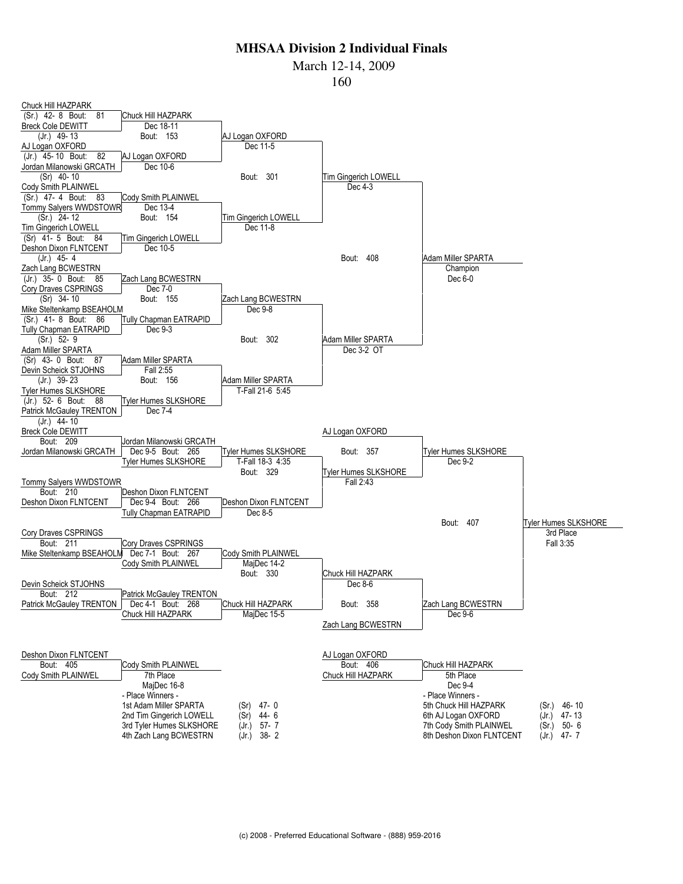March 12-14, 2009

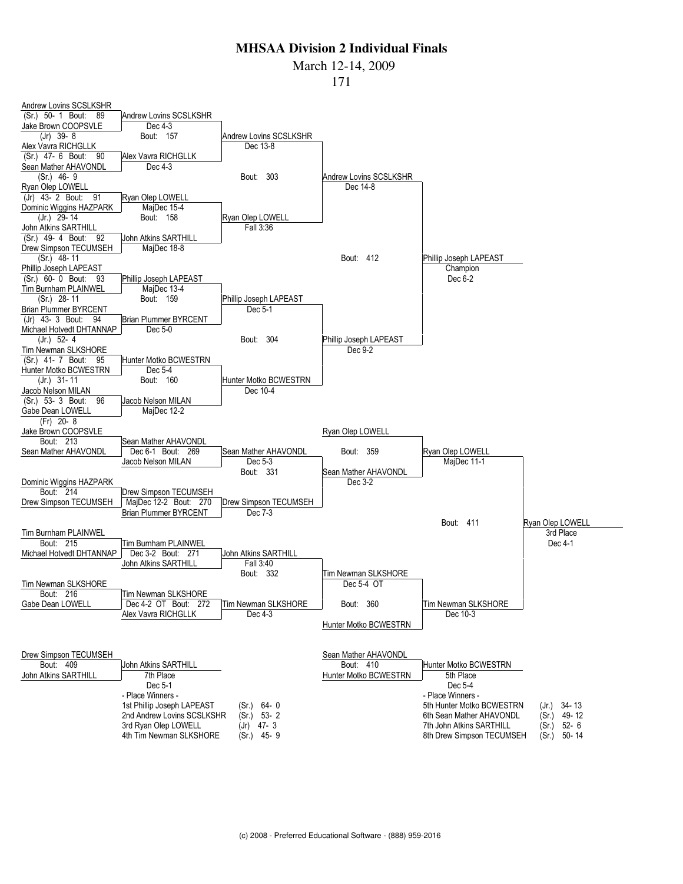March 12-14, 2009

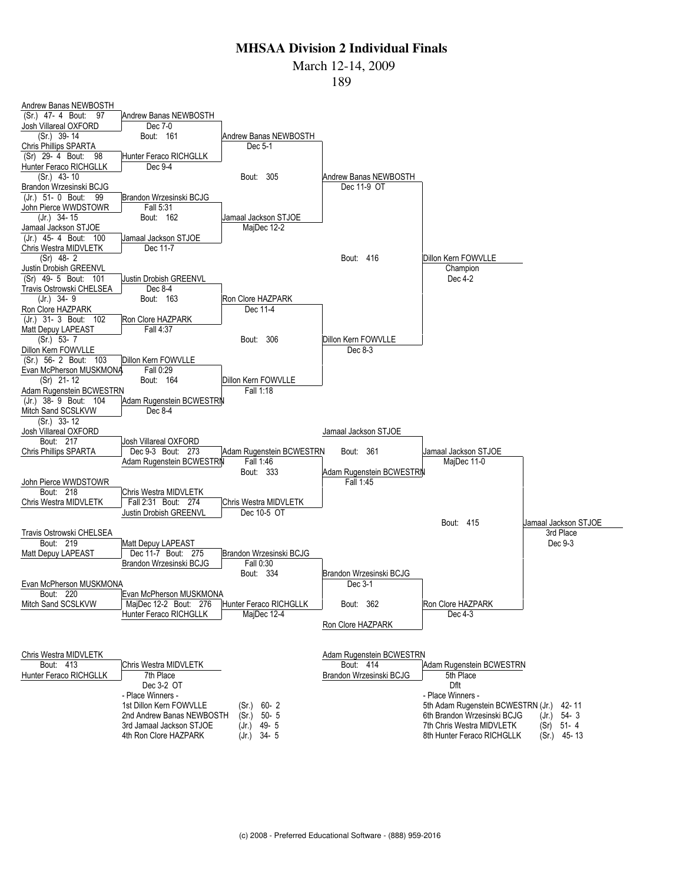#### March 12-14, 2009